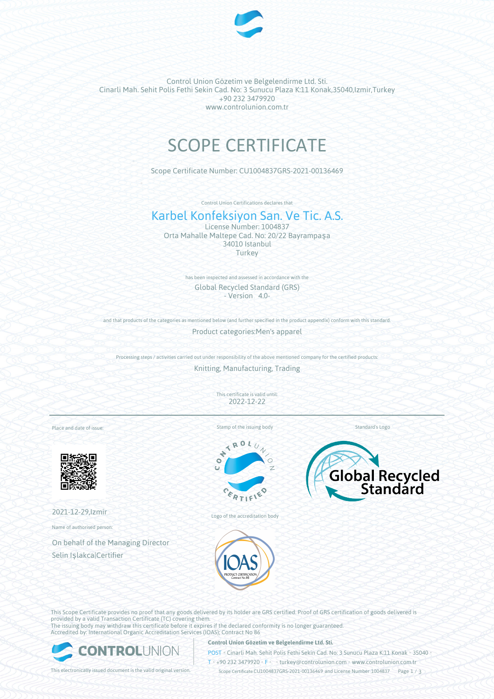

Control Union Gözetim ve Belgelendirme Ltd. Sti. Cinarli Mah. Sehit Polis Fethi Sekin Cad. No: 3 Sunucu Plaza K:11 Konak,35040,Izmir,Turkey +90 232 3479920 www.controlunion.com.tr

# SCOPE CERTIFICATE

Scope Certificate Number: CU1004837GRS-2021-00136469

Control Union Certifications declares that

## Karbel Konfeksiyon San. Ve Tic. A.S.

License Number: 1004837 Orta Mahalle Maltepe Cad. No: 20/22 Bayrampaşa 34010 Istanbul Turkey

> has been inspected and assessed in accordance with the Global Recycled Standard (GRS) - Version 4.0-

and that products of the categories as mentioned below (and further specified in the product appendix) conform with this standard. Product categories:Men's apparel

Processing steps / activities carried out under responsibility of the above mentioned company for the certified products:

Knitting, Manufacturing, Trading

This certificate is valid until: 2022-12-22

Place and date of issue:



2021-12-29,Izmir

Name of authorised person:

On behalf of the Managing Director Selin Işlakca|Certifier

Stamp of the issuing body

 $\mathcal{N}_0$ E





Logo of the accreditation body

This Scope Certificate provides no proof that any goods delivered by its holder are GRS certified. Proof of GRS certification of goods delivered is provided by a valid Transaction Certificate (TC) covering them. The issuing body may withdraw this certificate before it expires if the declared conformity is no longer guaranteed. Accredited by: International Organic Accreditation Services (IOAS); Contract No 86



#### **Control Union Gözetim ve Belgelendirme Ltd. Sti.**

POST • Cinarli Mah. Sehit Polis Fethi Sekin Cad. No: 3 Sunucu Plaza K:11 Konak • 35040 • T • +90 232 3479920 • F • turkey@controlunion.com • www.controlunion.com.tr

This electronically issued document is the valid original version. Scope Certificate CU1004837GRS-2021-00136469 and License Number 1004837 Page 1 / 3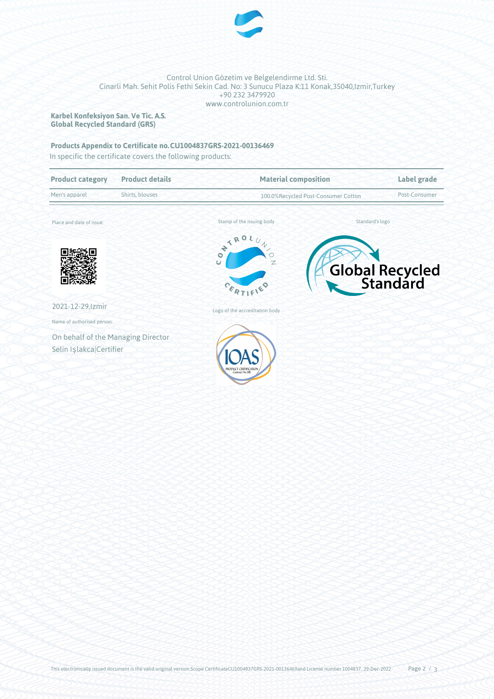

#### Control Union Gözetim ve Belgelendirme Ltd. Sti. Cinarli Mah. Sehit Polis Fethi Sekin Cad. No: 3 Sunucu Plaza K:11 Konak,35040,Izmir,Turkey +90 232 3479920 www.controlunion.com.tr

**Karbel Konfeksiyon San. Ve Tic. A.S. Global Recycled Standard (GRS)**

### **Products Appendix to Certificate no.CU1004837GRS-2021-00136469**

In specific the certificate covers the following products:

| <b>Product category</b>            | <b>Product details</b> | <b>Material composition</b><br>100.0%Recycled Post-Consumer Cotton    |                 | Label grade     |
|------------------------------------|------------------------|-----------------------------------------------------------------------|-----------------|-----------------|
| Men's apparel                      | Shirts, blouses        |                                                                       |                 | Post-Consumer   |
| Place and date of issue:           |                        | Stamp of the issuing body                                             | Standard's logo |                 |
|                                    |                        | NTROL,<br>$\gamma$<br>Ō<br>$\overline{C}$<br>Z<br>$c_{\varepsilon_R}$ |                 | Global Recycled |
| 2021-12-29, Izmir                  |                        | Logo of the accreditation body                                        |                 |                 |
| Name of authorised person:         |                        |                                                                       |                 |                 |
| On behalf of the Managing Director |                        |                                                                       |                 |                 |
| Selin Işlakca Certifier            |                        | Contract No.86                                                        |                 |                 |